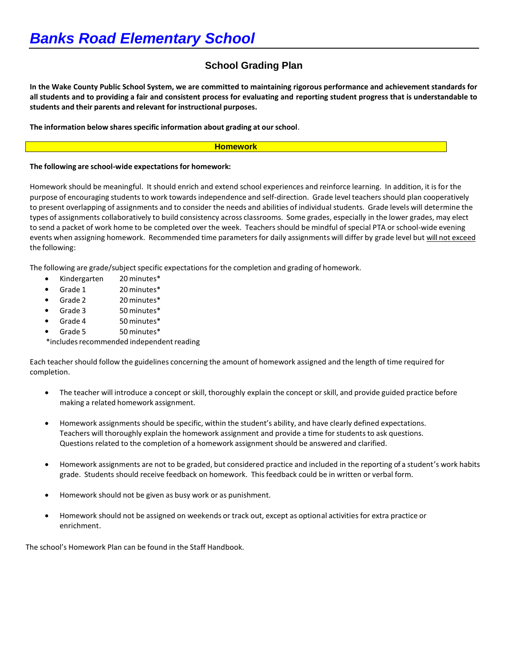# **School Grading Plan**

In the Wake County Public School System, we are committed to maintaining rigorous performance and achievement standards for all students and to providing a fair and consistent process for evaluating and reporting student progress that is understandable to **students and their parents and relevant for instructional purposes.**

**The information below sharesspecific information about grading at our school**.

#### **Homework**

#### **The following are school-wide expectationsfor homework:**

Homework should be meaningful. It should enrich and extend school experiences and reinforce learning. In addition, it is for the purpose of encouraging students to work towards independence and self-direction. Grade level teachers should plan cooperatively to present overlapping of assignments and to consider the needs and abilities of individual students. Grade levels will determine the types of assignments collaboratively to build consistency across classrooms. Some grades, especially in the lower grades, may elect to send a packet of work home to be completed over the week. Teachers should be mindful of special PTA or school-wide evening events when assigning homework. Recommended time parameters for daily assignments will differ by grade level but will not exceed the following:

The following are grade/subject specific expectations for the completion and grading of homework.

- Kindergarten 20 minutes\*
- Grade 1 20 minutes\*
- Grade 2 20 minutes\*
- Grade 3 50 minutes\*
- Grade 4 50 minutes\*
- Grade 5 50 minutes\*

\*includes recommended independent reading

Each teacher should follow the guidelines concerning the amount of homework assigned and the length of time required for completion.

- The teacher will introduce a concept or skill, thoroughly explain the concept or skill, and provide guided practice before making a related homework assignment.
- Homework assignments should be specific, within the student's ability, and have clearly defined expectations. Teachers will thoroughly explain the homework assignment and provide a time for students to ask questions. Questions related to the completion of a homework assignment should be answered and clarified.
- Homework assignments are not to be graded, but considered practice and included in the reporting of a student's work habits grade. Students should receive feedback on homework. Thisfeedback could be in written or verbal form.
- Homework should not be given as busy work or as punishment.
- Homework should not be assigned on weekends or track out, except as optional activities for extra practice or enrichment.

The school's Homework Plan can be found in the Staff Handbook.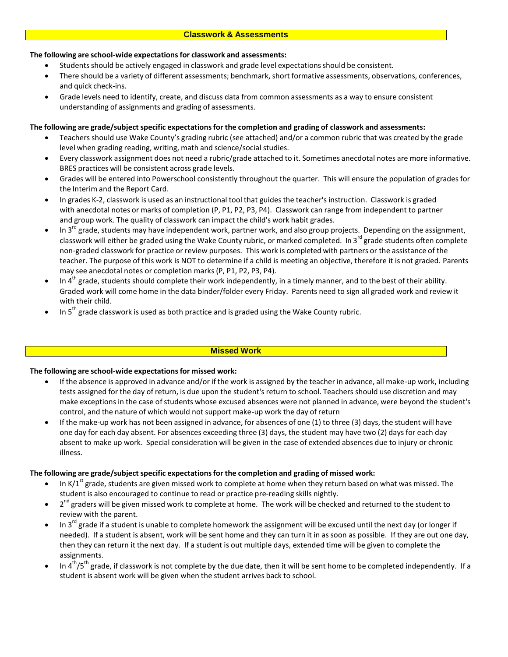#### **Classwork & Assessments**

## **The following are school-wide expectationsfor classwork and assessments:**

- Students should be actively engaged in classwork and grade level expectations should be consistent.
- There should be a variety of different assessments; benchmark, short formative assessments, observations, conferences, and quick check-ins.
- Grade levels need to identify, create, and discuss data from common assessments as a way to ensure consistent understanding of assignments and grading of assessments.

# **The following are grade/subjectspecific expectationsfor the completion and grading of classwork and assessments:**

- Teachers should use Wake County's grading rubric (see attached) and/or a common rubric that was created by the grade level when grading reading, writing, math and science/social studies.
- Every classwork assignment does not need a rubric/grade attached to it. Sometimes anecdotal notes are more informative. BRES practices will be consistent across grade levels.
- Grades will be entered into Powerschool consistently throughout the quarter. This will ensure the population of gradesfor the Interim and the Report Card.
- In grades K-2, classwork is used as an instructional tool that guides the teacher's instruction. Classwork is graded with anecdotal notes or marks of completion (P, P1, P2, P3, P4). Classwork can range from independent to partner and group work. The quality of classwork can impact the child's work habit grades.
- $\bullet$  In 3<sup>rd</sup> grade, students may have independent work, partner work, and also group projects. Depending on the assignment, classwork will either be graded using the Wake County rubric, or marked completed. In 3<sup>rd</sup> grade students often complete non-graded classwork for practice or review purposes. This work is completed with partners or the assistance of the teacher. The purpose of this work is NOT to determine if a child is meeting an objective, therefore it is not graded. Parents may see anecdotal notes or completion marks(P, P1, P2, P3, P4).
- $\bullet$  In 4<sup>th</sup> grade, students should complete their work independently, in a timely manner, and to the best of their ability. Graded work will come home in the data binder/folder every Friday. Parents need to sign all graded work and review it with their child.
- $\bullet$  In 5<sup>th</sup> grade classwork is used as both practice and is graded using the Wake County rubric.

## **Missed Work**

## **The following are school-wide expectationsfor missed work:**

- If the absence is approved in advance and/or if the work is assigned by the teacher in advance, all make-up work, including tests assigned for the day of return, is due upon the student's return to school. Teachers should use discretion and may make exceptions in the case of students whose excused absences were not planned in advance, were beyond the student's control, and the nature of which would not support make-up work the day of return
- If the make-up work has not been assigned in advance, for absences of one (1) to three (3) days, the student will have one day for each day absent. For absences exceeding three (3) days, the student may have two (2) days for each day absent to make up work. Special consideration will be given in the case of extended absences due to injury or chronic illness.

## **The following are grade/subjectspecific expectationsfor the completion and grading of missed work:**

- In K/1<sup>st</sup> grade, students are given missed work to complete at home when they return based on what was missed. The student is also encouraged to continue to read or practice pre-reading skills nightly.
- 2<sup>nd</sup> graders will be given missed work to complete at home. The work will be checked and returned to the student to review with the parent.
- $\bullet$  In 3<sup>rd</sup> grade if a student is unable to complete homework the assignment will be excused until the next day (or longer if needed). If a student is absent, work will be sent home and they can turn it in as soon as possible. If they are out one day, then they can return it the next day. If a student is out multiple days, extended time will be given to complete the assignments.
- In 4<sup>th</sup>/5<sup>th</sup> grade, if classwork is not complete by the due date, then it will be sent home to be completed independently. If a student is absent work will be given when the student arrives back to school.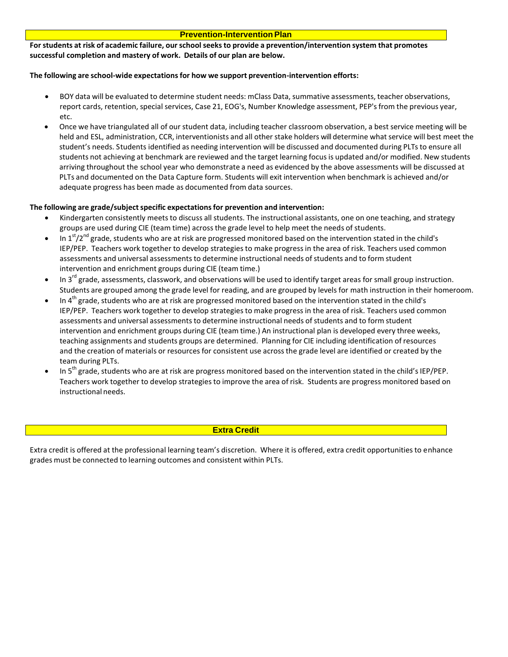#### **Prevention-Intervention Plan**

**Forstudents at risk of academic failure, our schoolseeksto provide a prevention/intervention system that promotes successful completion and mastery of work. Details of our plan are below.**

### **The following are school-wide expectationsfor how we support prevention-intervention efforts:**

- BOY data will be evaluated to determine student needs: mClass Data, summative assessments, teacher observations, report cards, retention, special services, Case 21, EOG's, Number Knowledge assessment, PEP's from the previous year, etc.
- Once we have triangulated all of our student data, including teacher classroom observation, a best service meeting will be held and ESL, administration, CCR, interventionists and all other stake holders will determine what service will best meet the student's needs. Students identified as needing intervention will be discussed and documented during PLTsto ensure all students not achieving at benchmark are reviewed and the target learning focusis updated and/or modified. New students arriving throughout the school year who demonstrate a need as evidenced by the above assessments will be discussed at PLTs and documented on the Data Capture form. Students will exit intervention when benchmark is achieved and/or adequate progress has been made as documented from data sources.

## **The following are grade/subjectspecific expectationsfor prevention and intervention:**

- Kindergarten consistently meets to discuss all students. The instructional assistants, one on one teaching, and strategy groups are used during CIE (team time) acrossthe grade level to help meet the needs of students.
- In 1<sup>st</sup>/2<sup>nd</sup> grade, students who are at risk are progressed monitored based on the intervention stated in the child's IEP/PEP. Teachers work together to develop strategiesto make progressin the area of risk. Teachers used common assessments and universal assessments to determine instructional needs of students and to form student intervention and enrichment groups during CIE (team time.)
- $\bullet$  In 3<sup>rd</sup> grade, assessments, classwork, and observations will be used to identify target areas for small group instruction. Students are grouped among the grade level for reading, and are grouped by levels for math instruction in their homeroom.
- $\bullet$  In 4<sup>th</sup> grade, students who are at risk are progressed monitored based on the intervention stated in the child's IEP/PEP. Teachers work together to develop strategiesto make progress in the area of risk. Teachers used common assessments and universal assessments to determine instructional needs of students and to form student intervention and enrichment groups during CIE (team time.) An instructional plan is developed every three weeks, teaching assignments and students groups are determined. Planning for CIE including identification of resources and the creation of materials or resources for consistent use acrossthe grade level are identified or created by the team during PLTs.
- $\bullet$  In 5<sup>th</sup> grade, students who are at risk are progress monitored based on the intervention stated in the child's IEP/PEP. Teachers work together to develop strategiesto improve the area of risk. Students are progress monitored based on instructional needs.

#### **Extra Credit**

Extra credit is offered at the professional learning team's discretion. Where it is offered, extra credit opportunitiesto enhance grades must be connected to learning outcomes and consistent within PLTs.